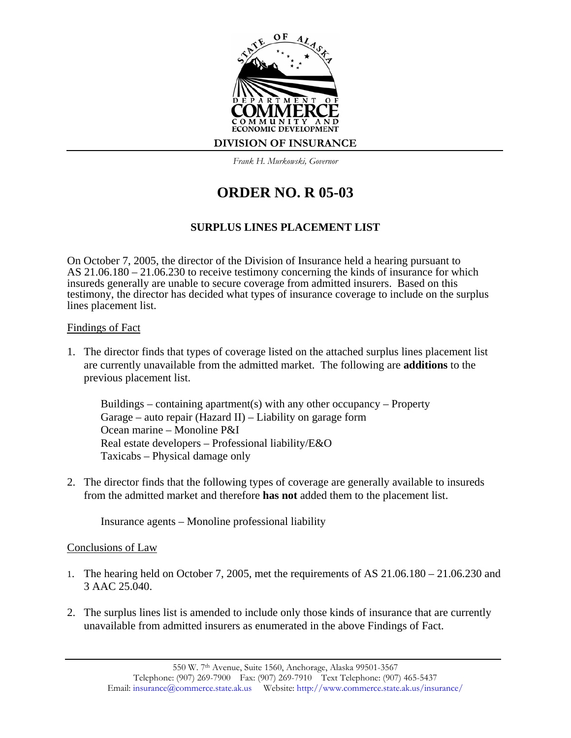

*Frank H. Murkowski, Governor*

## **ORDER NO. R 05-03**

## **SURPLUS LINES PLACEMENT LIST**

On October 7, 2005, the director of the Division of Insurance held a hearing pursuant to AS 21.06.180 – 21.06.230 to receive testimony concerning the kinds of insurance for which insureds generally are unable to secure coverage from admitted insurers. Based on this testimony, the director has decided what types of insurance coverage to include on the surplus lines placement list.

## Findings of Fact

1. The director finds that types of coverage listed on the attached surplus lines placement list are currently unavailable from the admitted market. The following are **additions** to the previous placement list.

Buildings – containing apartment(s) with any other occupancy – Property Garage – auto repair (Hazard II) – Liability on garage form Ocean marine – Monoline P&I Real estate developers – Professional liability/E&O Taxicabs – Physical damage only

2. The director finds that the following types of coverage are generally available to insureds from the admitted market and therefore **has not** added them to the placement list.

Insurance agents – Monoline professional liability

## Conclusions of Law

- 1. The hearing held on October 7, 2005, met the requirements of AS 21.06.180 21.06.230 and 3 AAC 25.040.
- 2. The surplus lines list is amended to include only those kinds of insurance that are currently unavailable from admitted insurers as enumerated in the above Findings of Fact.